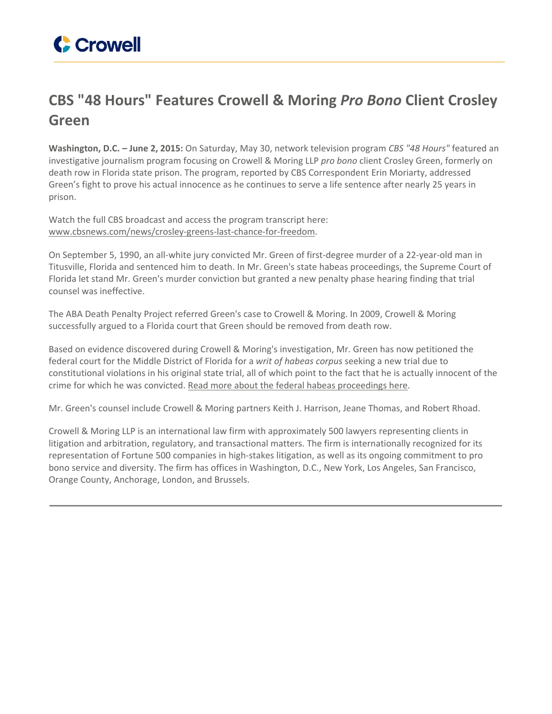## **CBS "48 Hours" Features Crowell & Moring** *Pro Bono* **Client Crosley Green**

**Washington, D.C. – June 2, 2015:** On Saturday, May 30, network television program *CBS "48 Hours"* featured an investigative journalism program focusing on Crowell & Moring LLP *pro bono* client Crosley Green, formerly on death row in Florida state prison. The program, reported by CBS Correspondent Erin Moriarty, addressed Green's fight to prove his actual innocence as he continues to serve a life sentence after nearly 25 years in prison.

Watch the full CBS broadcast and access the program transcript here: [www.cbsnews.com/news/crosley-greens-last-chance-for-freedom.](http://www.cbsnews.com/news/crosley-greens-last-chance-for-freedom/)

On September 5, 1990, an all-white jury convicted Mr. Green of first-degree murder of a 22-year-old man in Titusville, Florida and sentenced him to death. In Mr. Green's state habeas proceedings, the Supreme Court of Florida let stand Mr. Green's murder conviction but granted a new penalty phase hearing finding that trial counsel was ineffective.

The ABA Death Penalty Project referred Green's case to Crowell & Moring. In 2009, Crowell & Moring successfully argued to a Florida court that Green should be removed from death row.

Based on evidence discovered during Crowell & Moring's investigation, Mr. Green has now petitioned the federal court for the Middle District of Florida for a *writ of habeas corpus* seeking a new trial due to constitutional violations in his original state trial, all of which point to the fact that he is actually innocent of the crime for which he was convicted. Read more about the federal habeas [proceedings](http://www.crowell.com/NewsEvents/All/Former-Florida-Death-Row-Inmate-Crosley-Green-Asks-Orlando-Federal-Court-to-Overturn-His-Conviction-Crowell-Moring-Files-Habeas-Corpus) here.

Mr. Green's counsel include Crowell & Moring partners Keith J. Harrison, Jeane Thomas, and Robert Rhoad.

Crowell & Moring LLP is an international law firm with approximately 500 lawyers representing clients in litigation and arbitration, regulatory, and transactional matters. The firm is internationally recognized for its representation of Fortune 500 companies in high-stakes litigation, as well as its ongoing commitment to pro bono service and diversity. The firm has offices in Washington, D.C., New York, Los Angeles, San Francisco, Orange County, Anchorage, London, and Brussels.